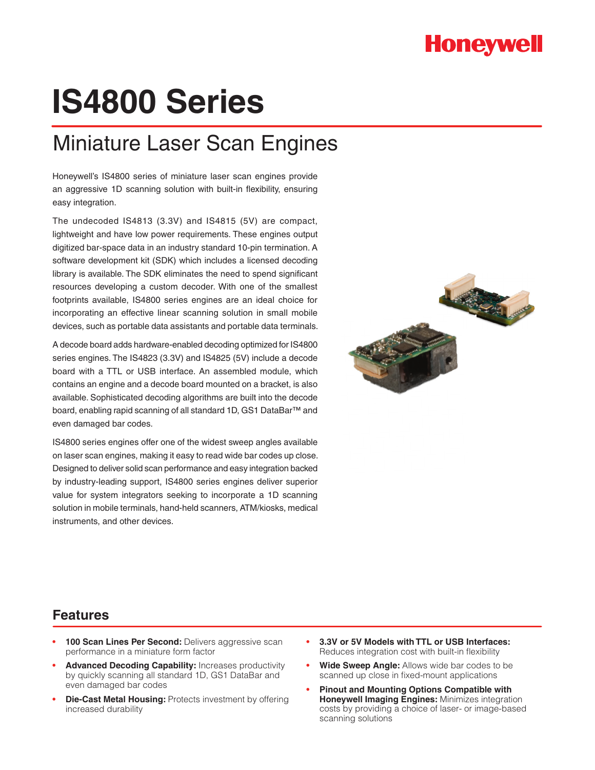## **Honeywell**

# **IS4800 Series**

### Miniature Laser Scan Engines

Honeywell's IS4800 series of miniature laser scan engines provide an aggressive 1D scanning solution with built-in flexibility, ensuring easy integration.

The undecoded IS4813 (3.3V) and IS4815 (5V) are compact, lightweight and have low power requirements. These engines output digitized bar-space data in an industry standard 10-pin termination. A software development kit (SDK) which includes a licensed decoding library is available. The SDK eliminates the need to spend significant resources developing a custom decoder. With one of the smallest footprints available, IS4800 series engines are an ideal choice for incorporating an effective linear scanning solution in small mobile devices, such as portable data assistants and portable data terminals.

A decode board adds hardware-enabled decoding optimized for IS4800 series engines. The IS4823 (3.3V) and IS4825 (5V) include a decode board with a TTL or USB interface. An assembled module, which contains an engine and a decode board mounted on a bracket, is also available. Sophisticated decoding algorithms are built into the decode board, enabling rapid scanning of all standard 1D, GS1 DataBar™ and even damaged bar codes.

IS4800 series engines offer one of the widest sweep angles available on laser scan engines, making it easy to read wide bar codes up close. Designed to deliver solid scan performance and easy integration backed by industry-leading support, IS4800 series engines deliver superior value for system integrators seeking to incorporate a 1D scanning solution in mobile terminals, hand-held scanners, ATM/kiosks, medical instruments, and other devices.



#### **Features**

- 100 Scan Lines Per Second: Delivers aggressive scan performance in a miniature form factor
- Advanced Decoding Capability: Increases productivity by quickly scanning all standard 1D, GS1 DataBar and even damaged bar codes
- **Die-Cast Metal Housing: Protects investment by offering** increased durability
- **3.3V or 5V Models with TTL or USB Interfaces:** Reduces integration cost with built-in flexibility
- **Wide Sweep Angle:** Allows wide bar codes to be scanned up close in fixed-mount applications
- **Pinout and Mounting Options Compatible with Honeywell Imaging Engines:** Minimizes integration costs by providing a choice of laser- or image-based scanning solutions